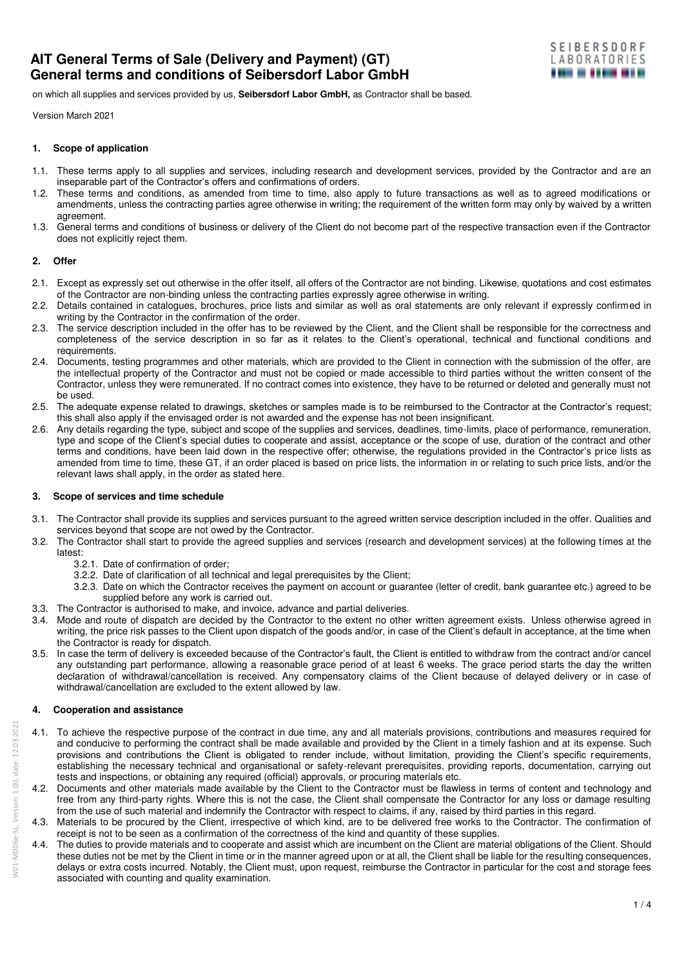on which all supplies and services provided by us, **Seibersdorf Labor GmbH,** as Contractor shall be based.

Version March 2021

#### **1. Scope of application**

- 1.1. These terms apply to all supplies and services, including research and development services, provided by the Contractor and are an inseparable part of the Contractor's offers and confirmations of orders.
- 1.2. These terms and conditions, as amended from time to time, also apply to future transactions as well as to agreed modifications or amendments, unless the contracting parties agree otherwise in writing; the requirement of the written form may only by waived by a written agreement.
- 1.3. General terms and conditions of business or delivery of the Client do not become part of the respective transaction even if the Contractor does not explicitly reject them.

## **2. Offer**

- 2.1. Except as expressly set out otherwise in the offer itself, all offers of the Contractor are not binding. Likewise, quotations and cost estimates of the Contractor are non-binding unless the contracting parties expressly agree otherwise in writing.
- 2.2. Details contained in catalogues, brochures, price lists and similar as well as oral statements are only relevant if expressly confirmed in writing by the Contractor in the confirmation of the order.
- 2.3. The service description included in the offer has to be reviewed by the Client, and the Client shall be responsible for the correctness and completeness of the service description in so far as it relates to the Client's operational, technical and functional conditions and requirements.
- 2.4. Documents, testing programmes and other materials, which are provided to the Client in connection with the submission of the offer, are the intellectual property of the Contractor and must not be copied or made accessible to third parties without the written consent of the Contractor, unless they were remunerated. If no contract comes into existence, they have to be returned or deleted and generally must not be used.
- 2.5. The adequate expense related to drawings, sketches or samples made is to be reimbursed to the Contractor at the Contractor's request; this shall also apply if the envisaged order is not awarded and the expense has not been insignificant.
- 2.6. Any details regarding the type, subject and scope of the supplies and services, deadlines, time-limits, place of performance, remuneration, type and scope of the Client's special duties to cooperate and assist, acceptance or the scope of use, duration of the contract and other terms and conditions, have been laid down in the respective offer; otherwise, the regulations provided in the Contractor's price lists as amended from time to time, these GT, if an order placed is based on price lists, the information in or relating to such price lists, and/or the relevant laws shall apply, in the order as stated here.

## **3. Scope of services and time schedule**

- 3.1. The Contractor shall provide its supplies and services pursuant to the agreed written service description included in the offer. Qualities and services beyond that scope are not owed by the Contractor.
- 3.2. The Contractor shall start to provide the agreed supplies and services (research and development services) at the following times at the latest:
	- 3.2.1. Date of confirmation of order;
	- 3.2.2. Date of clarification of all technical and legal prerequisites by the Client;
	- 3.2.3. Date on which the Contractor receives the payment on account or guarantee (letter of credit, bank guarantee etc.) agreed to be supplied before any work is carried out.
- 3.3. The Contractor is authorised to make, and invoice, advance and partial deliveries.
- 3.4. Mode and route of dispatch are decided by the Contractor to the extent no other written agreement exists. Unless otherwise agreed in writing, the price risk passes to the Client upon dispatch of the goods and/or, in case of the Client's default in acceptance, at the time when the Contractor is ready for dispatch.
- 3.5. In case the term of delivery is exceeded because of the Contractor's fault, the Client is entitled to withdraw from the contract and/or cancel any outstanding part performance, allowing a reasonable grace period of at least 6 weeks. The grace period starts the day the written declaration of withdrawal/cancellation is received. Any compensatory claims of the Client because of delayed delivery or in case of withdrawal/cancellation are excluded to the extent allowed by law.

# **4. Cooperation and assistance**

- 4.1. To achieve the respective purpose of the contract in due time, any and all materials provisions, contributions and measures required for and conducive to performing the contract shall be made available and provided by the Client in a timely fashion and at its expense. Such provisions and contributions the Client is obligated to render include, without limitation, providing the Client's specific requirements, establishing the necessary technical and organisational or safety-relevant prerequisites, providing reports, documentation, carrying out tests and inspections, or obtaining any required (official) approvals, or procuring materials etc.
- 4.2. Documents and other materials made available by the Client to the Contractor must be flawless in terms of content and technology and free from any third-party rights. Where this is not the case, the Client shall compensate the Contractor for any loss or damage resulting from the use of such material and indemnify the Contractor with respect to claims, if any, raised by third parties in this regard.
- 4.3. Materials to be procured by the Client, irrespective of which kind, are to be delivered free works to the Contractor. The confirmation of receipt is not to be seen as a confirmation of the correctness of the kind and quantity of these supplies.
- 4.4. The duties to provide materials and to cooperate and assist which are incumbent on the Client are material obligations of the Client. Should these duties not be met by the Client in time or in the manner agreed upon or at all, the Client shall be liable for the resulting consequences, delays or extra costs incurred. Notably, the Client must, upon request, reimburse the Contractor in particular for the cost and storage fees associated with counting and quality examination.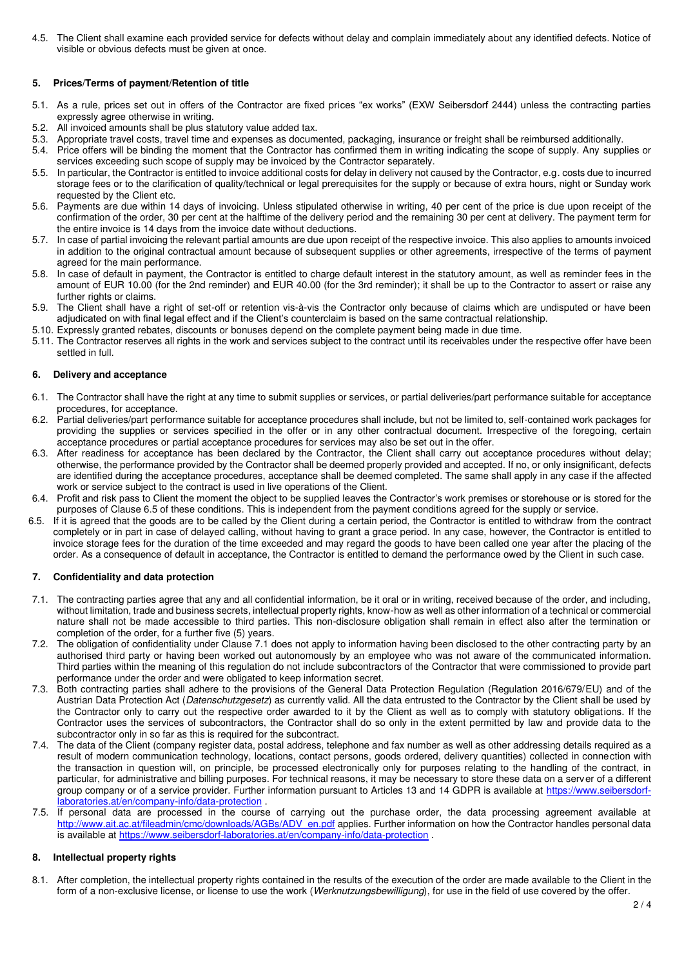4.5. The Client shall examine each provided service for defects without delay and complain immediately about any identified defects. Notice of visible or obvious defects must be given at once.

## **5. Prices/Terms of payment/Retention of title**

- 5.1. As a rule, prices set out in offers of the Contractor are fixed prices "ex works" (EXW Seibersdorf 2444) unless the contracting parties expressly agree otherwise in writing.
- 5.2. All invoiced amounts shall be plus statutory value added tax.
- 5.3. Appropriate travel costs, travel time and expenses as documented, packaging, insurance or freight shall be reimbursed additionally.
- 5.4. Price offers will be binding the moment that the Contractor has confirmed them in writing indicating the scope of supply. Any supplies or services exceeding such scope of supply may be invoiced by the Contractor separately.
- 5.5. In particular, the Contractor is entitled to invoice additional costs for delay in delivery not caused by the Contractor, e.g. costs due to incurred storage fees or to the clarification of quality/technical or legal prerequisites for the supply or because of extra hours, night or Sunday work requested by the Client etc.
- 5.6. Payments are due within 14 days of invoicing. Unless stipulated otherwise in writing, 40 per cent of the price is due upon receipt of the confirmation of the order, 30 per cent at the halftime of the delivery period and the remaining 30 per cent at delivery. The payment term for the entire invoice is 14 days from the invoice date without deductions.
- 5.7. In case of partial invoicing the relevant partial amounts are due upon receipt of the respective invoice. This also applies to amounts invoiced in addition to the original contractual amount because of subsequent supplies or other agreements, irrespective of the terms of payment agreed for the main performance.
- 5.8. In case of default in payment, the Contractor is entitled to charge default interest in the statutory amount, as well as reminder fees in the amount of EUR 10.00 (for the 2nd reminder) and EUR 40.00 (for the 3rd reminder); it shall be up to the Contractor to assert or raise any further rights or claims.
- 5.9. The Client shall have a right of set-off or retention vis-à-vis the Contractor only because of claims which are undisputed or have been adjudicated on with final legal effect and if the Client's counterclaim is based on the same contractual relationship.
- 5.10. Expressly granted rebates, discounts or bonuses depend on the complete payment being made in due time.
- 5.11. The Contractor reserves all rights in the work and services subject to the contract until its receivables under the respective offer have been settled in full.

### **6. Delivery and acceptance**

- 6.1. The Contractor shall have the right at any time to submit supplies or services, or partial deliveries/part performance suitable for acceptance procedures, for acceptance.
- 6.2. Partial deliveries/part performance suitable for acceptance procedures shall include, but not be limited to, self-contained work packages for providing the supplies or services specified in the offer or in any other contractual document. Irrespective of the foregoing, certain acceptance procedures or partial acceptance procedures for services may also be set out in the offer.
- 6.3. After readiness for acceptance has been declared by the Contractor, the Client shall carry out acceptance procedures without delay; otherwise, the performance provided by the Contractor shall be deemed properly provided and accepted. If no, or only insignificant, defects are identified during the acceptance procedures, acceptance shall be deemed completed. The same shall apply in any case if the affected work or service subject to the contract is used in live operations of the Client.
- 6.4. Profit and risk pass to Client the moment the object to be supplied leaves the Contractor's work premises or storehouse or is stored for the purposes of Clause 6.5 of these conditions. This is independent from the payment conditions agreed for the supply or service.
- 6.5. If it is agreed that the goods are to be called by the Client during a certain period, the Contractor is entitled to withdraw from the contract completely or in part in case of delayed calling, without having to grant a grace period. In any case, however, the Contractor is entitled to invoice storage fees for the duration of the time exceeded and may regard the goods to have been called one year after the placing of the order. As a consequence of default in acceptance, the Contractor is entitled to demand the performance owed by the Client in such case.

#### **7. Confidentiality and data protection**

- 7.1. The contracting parties agree that any and all confidential information, be it oral or in writing, received because of the order, and including, without limitation, trade and business secrets, intellectual property rights, know-how as well as other information of a technical or commercial nature shall not be made accessible to third parties. This non-disclosure obligation shall remain in effect also after the termination or completion of the order, for a further five (5) years.
- 7.2. The obligation of confidentiality under Clause 7.1 does not apply to information having been disclosed to the other contracting party by an authorised third party or having been worked out autonomously by an employee who was not aware of the communicated information. Third parties within the meaning of this regulation do not include subcontractors of the Contractor that were commissioned to provide part performance under the order and were obligated to keep information secret.
- 7.3. Both contracting parties shall adhere to the provisions of the General Data Protection Regulation (Regulation 2016/679/EU) and of the Austrian Data Protection Act (Datenschutzgesetz) as currently valid. All the data entrusted to the Contractor by the Client shall be used by the Contractor only to carry out the respective order awarded to it by the Client as well as to comply with statutory obligations. If the Contractor uses the services of subcontractors, the Contractor shall do so only in the extent permitted by law and provide data to the subcontractor only in so far as this is required for the subcontract.
- 7.4. The data of the Client (company register data, postal address, telephone and fax number as well as other addressing details required as a result of modern communication technology, locations, contact persons, goods ordered, delivery quantities) collected in connection with the transaction in question will, on principle, be processed electronically only for purposes relating to the handling of the contract, in particular, for administrative and billing purposes. For technical reasons, it may be necessary to store these data on a server of a different group company or of a service provider. Further information pursuant to Articles 13 and 14 GDPR is available at [https://www.seibersdorf](https://www.seibersdorf-laboratories.at/en/company-info/data-protection)[laboratories.at/en/company-info/data-protection](https://www.seibersdorf-laboratories.at/en/company-info/data-protection).
- 7.5. If personal data are processed in the course of carrying out the purchase order, the data processing agreement available at [http://www.ait.ac.at/fileadmin/cmc/downloads/AGBs/ADV\\_en.pdf](http://www.ait.ac.at/fileadmin/cmc/downloads/AGBs/ADV_en.pdf) applies. Further information on how the Contractor handles personal data is available at<https://www.seibersdorf-laboratories.at/en/company-info/data-protection>.

# **8. Intellectual property rights**

8.1. After completion, the intellectual property rights contained in the results of the execution of the order are made available to the Client in the form of a non-exclusive license, or license to use the work (Werknutzungsbewilligung), for use in the field of use covered by the offer.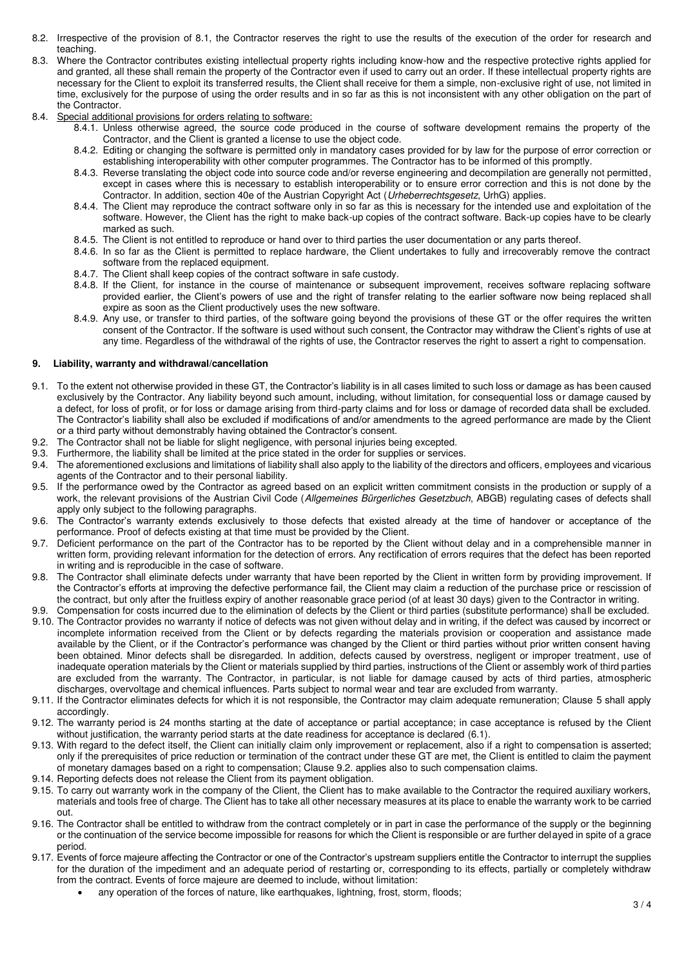- 8.2. Irrespective of the provision of 8.1, the Contractor reserves the right to use the results of the execution of the order for research and teaching.
- 8.3. Where the Contractor contributes existing intellectual property rights including know-how and the respective protective rights applied for and granted, all these shall remain the property of the Contractor even if used to carry out an order. If these intellectual property rights are necessary for the Client to exploit its transferred results, the Client shall receive for them a simple, non-exclusive right of use, not limited in time, exclusively for the purpose of using the order results and in so far as this is not inconsistent with any other obligation on the part of the Contractor.
- 8.4. Special additional provisions for orders relating to software:
	- 8.4.1. Unless otherwise agreed, the source code produced in the course of software development remains the property of the Contractor, and the Client is granted a license to use the object code.
	- 8.4.2. Editing or changing the software is permitted only in mandatory cases provided for by law for the purpose of error correction or establishing interoperability with other computer programmes. The Contractor has to be informed of this promptly.
	- 8.4.3. Reverse translating the object code into source code and/or reverse engineering and decompilation are generally not permitted, except in cases where this is necessary to establish interoperability or to ensure error correction and this is not done by the Contractor. In addition, section 40e of the Austrian Copyright Act (Urheberrechtsgesetz, UrhG) applies.
	- 8.4.4. The Client may reproduce the contract software only in so far as this is necessary for the intended use and exploitation of the software. However, the Client has the right to make back-up copies of the contract software. Back-up copies have to be clearly marked as such.
	- 8.4.5. The Client is not entitled to reproduce or hand over to third parties the user documentation or any parts thereof.
	- 8.4.6. In so far as the Client is permitted to replace hardware, the Client undertakes to fully and irrecoverably remove the contract software from the replaced equipment.
	- 8.4.7. The Client shall keep copies of the contract software in safe custody.
	- 8.4.8. If the Client, for instance in the course of maintenance or subsequent improvement, receives software replacing software provided earlier, the Client's powers of use and the right of transfer relating to the earlier software now being replaced shall expire as soon as the Client productively uses the new software.
	- 8.4.9. Any use, or transfer to third parties, of the software going beyond the provisions of these GT or the offer requires the written consent of the Contractor. If the software is used without such consent, the Contractor may withdraw the Client's rights of use at any time. Regardless of the withdrawal of the rights of use, the Contractor reserves the right to assert a right to compensation.

#### **9. Liability, warranty and withdrawal/cancellation**

- 9.1. To the extent not otherwise provided in these GT, the Contractor's liability is in all cases limited to such loss or damage as has been caused exclusively by the Contractor. Any liability beyond such amount, including, without limitation, for consequential loss or damage caused by a defect, for loss of profit, or for loss or damage arising from third-party claims and for loss or damage of recorded data shall be excluded. The Contractor's liability shall also be excluded if modifications of and/or amendments to the agreed performance are made by the Client or a third party without demonstrably having obtained the Contractor's consent.
- 9.2. The Contractor shall not be liable for slight negligence, with personal injuries being excepted.
- 9.3. Furthermore, the liability shall be limited at the price stated in the order for supplies or services.
- 9.4. The aforementioned exclusions and limitations of liability shall also apply to the liability of the directors and officers, employees and vicarious agents of the Contractor and to their personal liability.
- 9.5. If the performance owed by the Contractor as agreed based on an explicit written commitment consists in the production or supply of a work, the relevant provisions of the Austrian Civil Code (Allgemeines Bürgerliches Gesetzbuch, ABGB) regulating cases of defects shall apply only subject to the following paragraphs.
- 9.6. The Contractor's warranty extends exclusively to those defects that existed already at the time of handover or acceptance of the performance. Proof of defects existing at that time must be provided by the Client.
- 9.7. Deficient performance on the part of the Contractor has to be reported by the Client without delay and in a comprehensible manner in written form, providing relevant information for the detection of errors. Any rectification of errors requires that the defect has been reported in writing and is reproducible in the case of software.
- 9.8. The Contractor shall eliminate defects under warranty that have been reported by the Client in written form by providing improvement. If the Contractor's efforts at improving the defective performance fail, the Client may claim a reduction of the purchase price or rescission of the contract, but only after the fruitless expiry of another reasonable grace period (of at least 30 days) given to the Contractor in writing.
- 9.9. Compensation for costs incurred due to the elimination of defects by the Client or third parties (substitute performance) shall be excluded.
- 9.10. The Contractor provides no warranty if notice of defects was not given without delay and in writing, if the defect was caused by incorrect or incomplete information received from the Client or by defects regarding the materials provision or cooperation and assistance made available by the Client, or if the Contractor's performance was changed by the Client or third parties without prior written consent having been obtained. Minor defects shall be disregarded. In addition, defects caused by overstress, negligent or improper treatment, use of inadequate operation materials by the Client or materials supplied by third parties, instructions of the Client or assembly work of third parties are excluded from the warranty. The Contractor, in particular, is not liable for damage caused by acts of third parties, atmospheric discharges, overvoltage and chemical influences. Parts subject to normal wear and tear are excluded from warranty.
- 9.11. If the Contractor eliminates defects for which it is not responsible, the Contractor may claim adequate remuneration; Clause 5 shall apply accordingly.
- 9.12. The warranty period is 24 months starting at the date of acceptance or partial acceptance; in case acceptance is refused by the Client without justification, the warranty period starts at the date readiness for acceptance is declared (6.1).
- 9.13. With regard to the defect itself, the Client can initially claim only improvement or replacement, also if a right to compensation is asserted; only if the prerequisites of price reduction or termination of the contract under these GT are met, the Client is entitled to claim the payment of monetary damages based on a right to compensation; Clause 9.2. applies also to such compensation claims.
- 9.14. Reporting defects does not release the Client from its payment obligation.
- 9.15. To carry out warranty work in the company of the Client, the Client has to make available to the Contractor the required auxiliary workers, materials and tools free of charge. The Client has to take all other necessary measures at its place to enable the warranty work to be carried out.
- 9.16. The Contractor shall be entitled to withdraw from the contract completely or in part in case the performance of the supply or the beginning or the continuation of the service become impossible for reasons for which the Client is responsible or are further delayed in spite of a grace period.
- 9.17. Events of force majeure affecting the Contractor or one of the Contractor's upstream suppliers entitle the Contractor to interrupt the supplies for the duration of the impediment and an adequate period of restarting or, corresponding to its effects, partially or completely withdraw from the contract. Events of force majeure are deemed to include, without limitation:
	- any operation of the forces of nature, like earthquakes, lightning, frost, storm, floods;